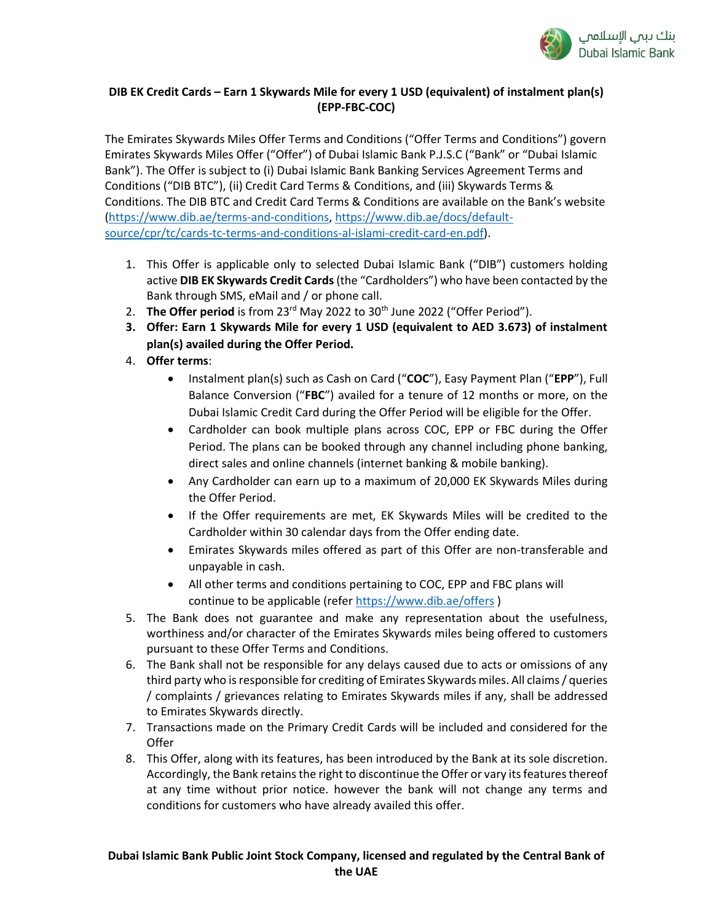

## **DIB EK Credit Cards – Earn 1 Skywards Mile for every 1 USD (equivalent) of instalment plan(s) (EPP-FBC-COC)**

The Emirates Skywards Miles Offer Terms and Conditions ("Offer Terms and Conditions") govern Emirates Skywards Miles Offer ("Offer") of Dubai Islamic Bank P.J.S.C ("Bank" or "Dubai Islamic Bank"). The Offer is subject to (i) Dubai Islamic Bank Banking Services Agreement Terms and Conditions ("DIB BTC"), (ii) Credit Card Terms & Conditions, and (iii) Skywards Terms & Conditions. The DIB BTC and Credit Card Terms & Conditions are available on the Bank's website [\(https://www.dib.ae/terms-and-conditions,](https://www.dib.ae/terms-and-conditions) [https://www.dib.ae/docs/default](https://www.dib.ae/docs/default-source/cpr/tc/cards-tc-terms-and-conditions-al-islami-credit-card-en.pdf)[source/cpr/tc/cards-tc-terms-and-conditions-al-islami-credit-card-en.pdf\)](https://www.dib.ae/docs/default-source/cpr/tc/cards-tc-terms-and-conditions-al-islami-credit-card-en.pdf).

- 1. This Offer is applicable only to selected Dubai Islamic Bank ("DIB") customers holding active **DIB EK Skywards Credit Cards**(the "Cardholders") who have been contacted by the Bank through SMS, eMail and / or phone call.
- 2. **The Offer period** is from 23<sup>rd</sup> May 2022 to 30<sup>th</sup> June 2022 ("Offer Period").
- **3. Offer: Earn 1 Skywards Mile for every 1 USD (equivalent to AED 3.673) of instalment plan(s) availed during the Offer Period.**
- 4. **Offer terms**:
	- Instalment plan(s) such as Cash on Card ("**COC**"), Easy Payment Plan ("**EPP**"), Full Balance Conversion ("**FBC**") availed for a tenure of 12 months or more, on the Dubai Islamic Credit Card during the Offer Period will be eligible for the Offer.
	- Cardholder can book multiple plans across COC, EPP or FBC during the Offer Period. The plans can be booked through any channel including phone banking, direct sales and online channels (internet banking & mobile banking).
	- Any Cardholder can earn up to a maximum of 20,000 EK Skywards Miles during the Offer Period.
	- If the Offer requirements are met, EK Skywards Miles will be credited to the Cardholder within 30 calendar days from the Offer ending date.
	- Emirates Skywards miles offered as part of this Offer are non-transferable and unpayable in cash.
	- All other terms and conditions pertaining to COC, EPP and FBC plans will continue to be applicable (refe[r https://www.dib.ae/offers](https://www.dib.ae/offers) )
- 5. The Bank does not guarantee and make any representation about the usefulness, worthiness and/or character of the Emirates Skywards miles being offered to customers pursuant to these Offer Terms and Conditions.
- 6. The Bank shall not be responsible for any delays caused due to acts or omissions of any third party who is responsible for crediting of Emirates Skywards miles. All claims / queries / complaints / grievances relating to Emirates Skywards miles if any, shall be addressed to Emirates Skywards directly.
- 7. Transactions made on the Primary Credit Cards will be included and considered for the **Offer**
- 8. This Offer, along with its features, has been introduced by the Bank at its sole discretion. Accordingly, the Bank retains the right to discontinue the Offer or vary its features thereof at any time without prior notice. however the bank will not change any terms and conditions for customers who have already availed this offer.